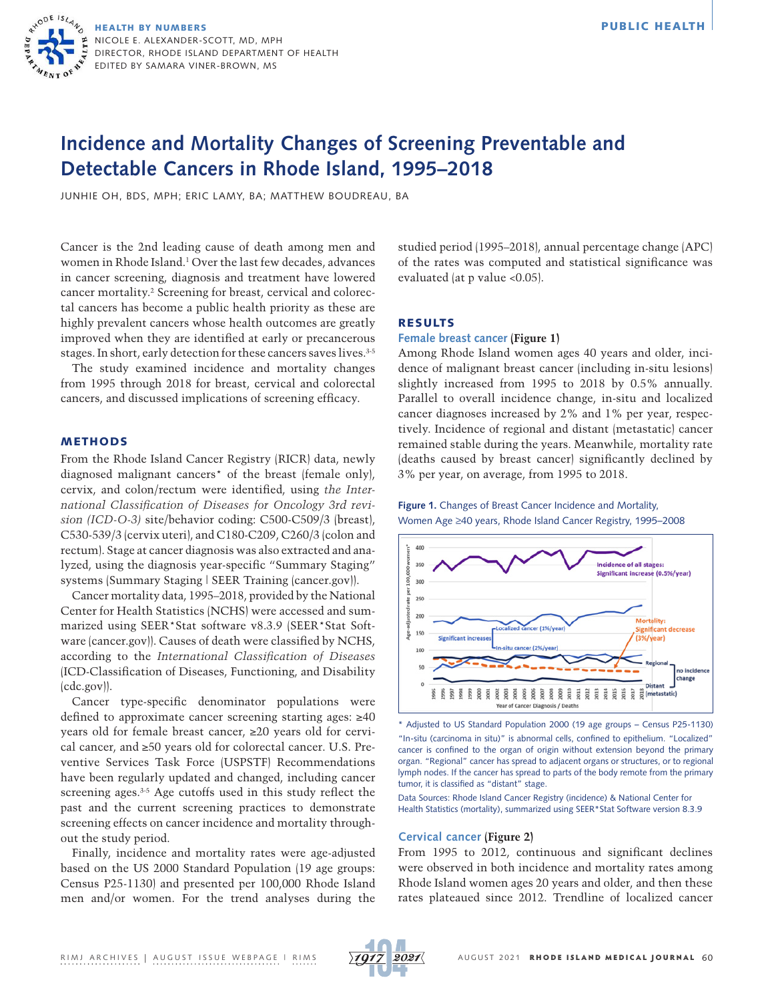HEALTH BY NUMBERS NICOLE E. ALEXANDER-SCOTT, MD, MPH DIRECTOR, RHODE ISLAND DEPARTMENT OF HEALTH EDITED BY SAMARA VINER-BROWN, MS

# **Incidence and Mortality Changes of Screening Preventable and Detectable Cancers in Rhode Island, 1995–2018**

JUNHIE OH, BDS, MPH; ERIC LAMY, BA; MATTHEW BOUDREAU, BA

Cancer is the 2nd leading cause of death among men and women in Rhode Island.1 Over the last few decades, advances in cancer screening, diagnosis and treatment have lowered cancer mortality.2 Screening for breast, cervical and colorectal cancers has become a public health priority as these are highly prevalent cancers whose health outcomes are greatly improved when they are identified at early or precancerous stages. In short, early detection for these cancers saves lives. 3-5

The study examined incidence and mortality changes from 1995 through 2018 for breast, cervical and colorectal cancers, and discussed implications of screening efficacy.

# METHODS

From the Rhode Island Cancer Registry (RICR) data, newly diagnosed malignant cancers\* of the breast (female only), cervix, and colon/rectum were identified, using *the International Classification of Diseases for Oncology 3rd revision (ICD-O-3)* site/behavior coding: C500-C509/3 (breast), C530-539/3 (cervix uteri), and C180-C209, C260/3 (colon and rectum). Stage at cancer diagnosis was also extracted and analyzed, using the diagnosis year-specific "Summary Staging" systems [\(Summary Staging | SEER Training \(cancer.gov\)](https://training.seer.cancer.gov/staging/systems/summary/)).

Cancer mortality data, 1995–2018, provided by the National Center for Health Statistics (NCHS) were accessed and summarized using SEER\*Stat software v8.3.9 ([SEER\\*Stat Soft](https://seer.cancer.gov/seerstat/)[ware \(cancer.gov\)\)](https://seer.cancer.gov/seerstat/). Causes of death were classified by NCHS, according to the *International Classification of Diseases* ([ICD-Classification of Diseases, Functioning, and Disability](https://www.cdc.gov/nchs/icd/index.htm) [\(cdc.gov\)](https://www.cdc.gov/nchs/icd/index.htm)).

Cancer type-specific denominator populations were defined to approximate cancer screening starting ages: ≥40 years old for female breast cancer, ≥20 years old for cervical cancer, and ≥50 years old for colorectal cancer. U.S. Preventive Services Task Force (USPSTF) Recommendations have been regularly updated and changed, including cancer screening ages.<sup>3-5</sup> Age cutoffs used in this study reflect the past and the current screening practices to demonstrate screening effects on cancer incidence and mortality throughout the study period.

Finally, incidence and mortality rates were age-adjusted based on the US 2000 Standard Population (19 age groups: Census P25-1130) and presented per 100,000 Rhode Island men and/or women. For the trend analyses during the studied period (1995–2018), annual percentage change (APC) of the rates was computed and statistical significance was evaluated (at p value <0.05).

# RESULTS

# **Female breast cancer (Figure 1)**

Among Rhode Island women ages 40 years and older, incidence of malignant breast cancer (including in-situ lesions) slightly increased from 1995 to 2018 by 0.5% annually. Parallel to overall incidence change, in-situ and localized cancer diagnoses increased by 2% and 1% per year, respectively. Incidence of regional and distant (metastatic) cancer remained stable during the years. Meanwhile, mortality rate (deaths caused by breast cancer) significantly declined by 3% per year, on average, from 1995 to 2018.

**Figure 1.** Changes of Breast Cancer Incidence and Mortality, Women Age ≥40 years, Rhode Island Cancer Registry, 1995–2008



\* Adjusted to US Standard Population 2000 (19 age groups – Census P25-1130) "In-situ (carcinoma in situ)" is abnormal cells, confined to epithelium. "Localized" cancer is confined to the organ of origin without extension beyond the primary organ. "Regional" cancer has spread to adjacent organs or structures, or to regional lymph nodes. If the cancer has spread to parts of the body remote from the primary tumor, it is classified as "distant" stage.

Data Sources: Rhode Island Cancer Registry (incidence) & National Center for Health Statistics (mortality), summarized using SEER\*Stat Software version 8.3.9

# **Cervical cancer (Figure 2)**

From 1995 to 2012, continuous and significant declines were observed in both incidence and mortality rates among Rhode Island women ages 20 years and older, and then these rates plateaued since 2012. Trendline of localized cancer

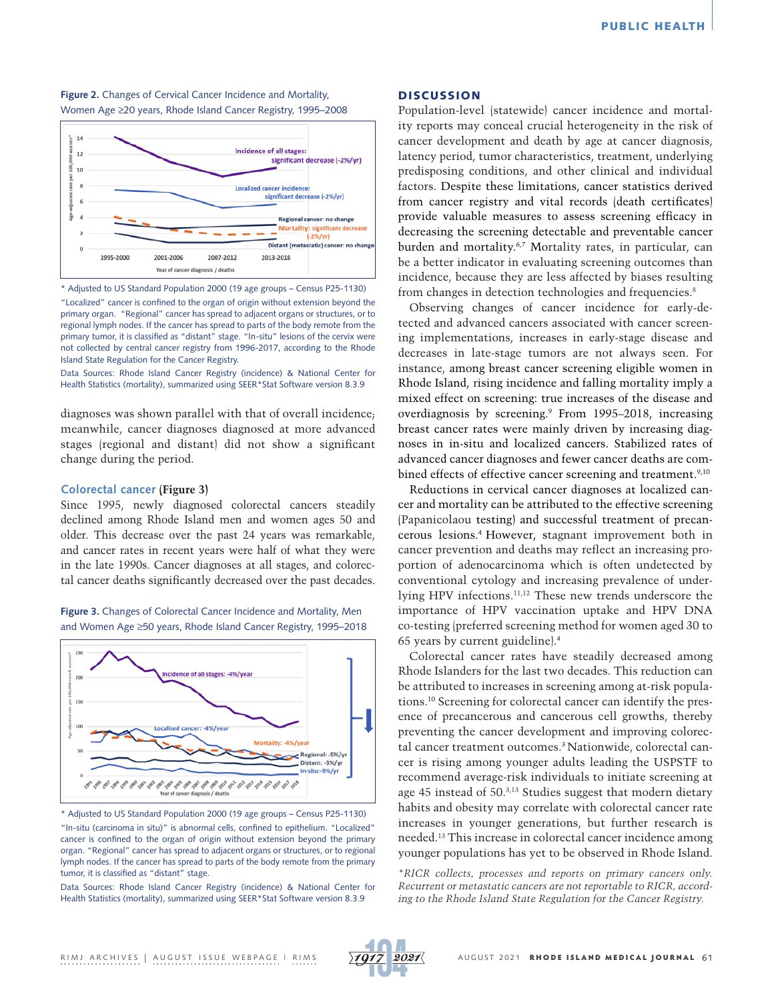**Figure 2.** Changes of Cervical Cancer Incidence and Mortality, Women Age ≥20 years, Rhode Island Cancer Registry, 1995–2008



\* Adjusted to US Standard Population 2000 (19 age groups – Census P25-1130)

"Localized" cancer is confined to the organ of origin without extension beyond the primary organ. "Regional" cancer has spread to adjacent organs or structures, or to regional lymph nodes. If the cancer has spread to parts of the body remote from the primary tumor, it is classified as "distant" stage. "In-situ" lesions of the cervix were not collected by central cancer registry from 1996-2017, according to the Rhode Island State Regulation for the Cancer Registry.

Data Sources: Rhode Island Cancer Registry (incidence) & National Center for Health Statistics (mortality), summarized using SEER\*Stat Software version 8.3.9

diagnoses was shown parallel with that of overall incidence; meanwhile, cancer diagnoses diagnosed at more advanced stages (regional and distant) did not show a significant change during the period.

## **Colorectal cancer (Figure 3)**

Since 1995, newly diagnosed colorectal cancers steadily declined among Rhode Island men and women ages 50 and older. This decrease over the past 24 years was remarkable, and cancer rates in recent years were half of what they were in the late 1990s. Cancer diagnoses at all stages, and colorectal cancer deaths significantly decreased over the past decades.

Figure 3. Changes of Colorectal Cancer Incidence and Mortality, Men and Women Age ≥50 years, Rhode Island Cancer Registry, 1995–2018



\* Adjusted to US Standard Population 2000 (19 age groups – Census P25-1130) "In-situ (carcinoma in situ)" is abnormal cells, confined to epithelium. "Localized" cancer is confined to the organ of origin without extension beyond the primary organ. "Regional" cancer has spread to adjacent organs or structures, or to regional lymph nodes. If the cancer has spread to parts of the body remote from the primary tumor, it is classified as "distant" stage.

Data Sources: Rhode Island Cancer Registry (incidence) & National Center for Health Statistics (mortality), summarized using SEER\*Stat Software version 8.3.9

# **DISCUSSION**

Population-level (statewide) cancer incidence and mortality reports may conceal crucial heterogeneity in the risk of cancer development and death by age at cancer diagnosis, latency period, tumor characteristics, treatment, underlying predisposing conditions, and other clinical and individual factors. Despite these limitations, cancer statistics derived from cancer registry and vital records (death certificates) provide valuable measures to assess screening efficacy in decreasing the screening detectable and preventable cancer burden and mortality.6,7 Mortality rates, in particular, can be a better indicator in evaluating screening outcomes than incidence, because they are less affected by biases resulting from changes in detection technologies and frequencies.<sup>8</sup>

Observing changes of cancer incidence for early-detected and advanced cancers associated with cancer screening implementations, increases in early-stage disease and decreases in late-stage tumors are not always seen. For instance, among breast cancer screening eligible women in Rhode Island, rising incidence and falling mortality imply a mixed effect on screening: true increases of the disease and overdiagnosis by screening.9 From 1995–2018, increasing breast cancer rates were mainly driven by increasing diagnoses in in-situ and localized cancers. Stabilized rates of advanced cancer diagnoses and fewer cancer deaths are combined effects of effective cancer screening and treatment.<sup>9,10</sup>

Reductions in cervical cancer diagnoses at localized cancer and mortality can be attributed to the effective screening (Papanicolaou testing) and successful treatment of precancerous lesions.4 However, stagnant improvement both in cancer prevention and deaths may reflect an increasing proportion of adenocarcinoma which is often undetected by conventional cytology and increasing prevalence of underlying HPV infections.11,12 These new trends underscore the importance of HPV vaccination uptake and HPV DNA co-testing (preferred screening method for women aged 30 to 65 years by current guideline).4

Colorectal cancer rates have steadily decreased among Rhode Islanders for the last two decades. This reduction can be attributed to increases in screening among at-risk populations.10 Screening for colorectal cancer can identify the presence of precancerous and cancerous cell growths, thereby preventing the cancer development and improving colorectal cancer treatment outcomes.3 Nationwide, colorectal cancer is rising among younger adults leading the USPSTF to recommend average-risk individuals to initiate screening at age 45 instead of 50.3,13 Studies suggest that modern dietary habits and obesity may correlate with colorectal cancer rate increases in younger generations, but further research is needed.13 This increase in colorectal cancer incidence among younger populations has yet to be observed in Rhode Island.

*\*RICR collects, processes and reports on primary cancers only. Recurrent or metastatic cancers are not reportable to RICR, according to the Rhode Island State Regulation for the Cancer Registry.*